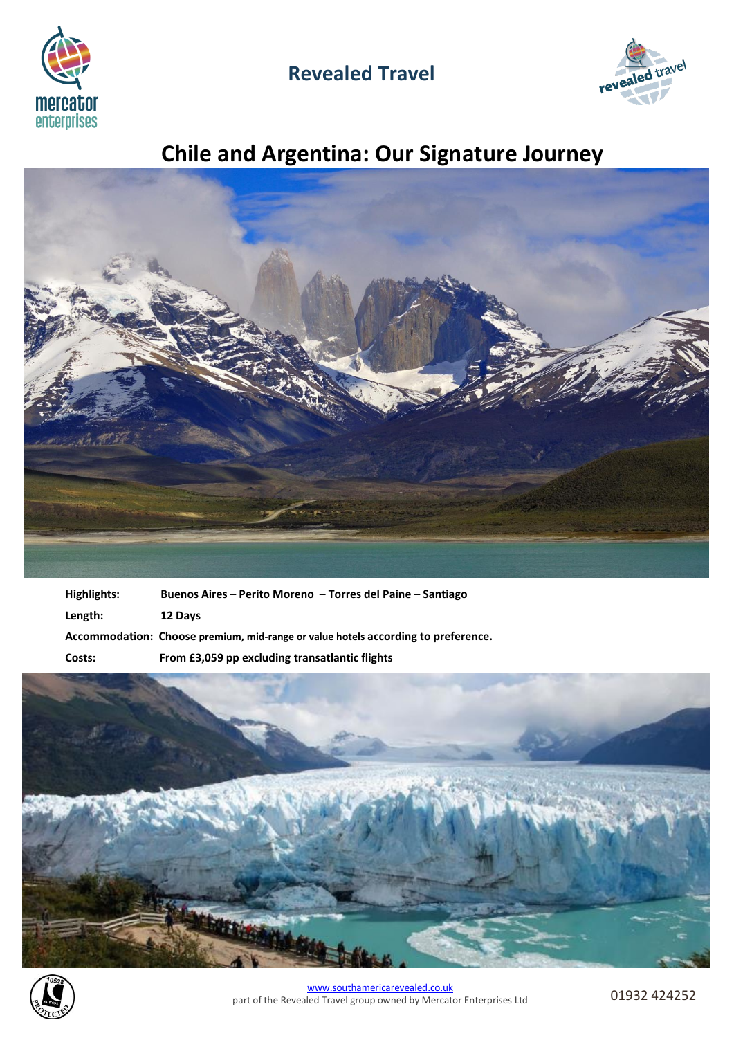

## **Revealed Travel**



# **Chile and Argentina: Our Signature Journey**



| Highlights: | Buenos Aires – Perito Moreno – Torres del Paine – Santiago                        |
|-------------|-----------------------------------------------------------------------------------|
| Length:     | 12 Days                                                                           |
|             | Accommodation: Choose premium, mid-range or value hotels according to preference. |
| Costs:      | From £3,059 pp excluding transatlantic flights                                    |



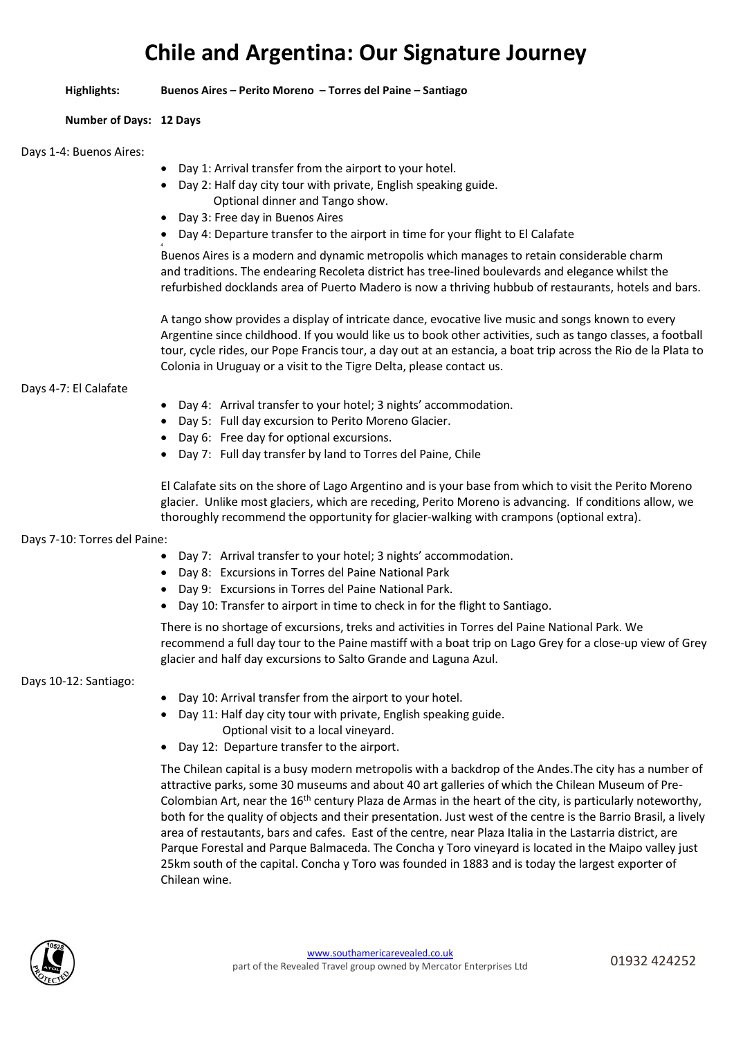## **Chile and Argentina: Our Signature Journey**

**Highlights: Buenos Aires – Perito Moreno – Torres del Paine – Santiago**

## **Number of Days: 12 Days**

## Days 1-4: Buenos Aires:

- Day 1: Arrival transfer from the airport to your hotel.
- Day 2: Half day city tour with private, English speaking guide. Optional dinner and Tango show.
- Day 3: Free day in Buenos Aires
- Day 4: Departure transfer to the airport in time for your flight to El Calafate

4 Buenos Aires is a modern and dynamic metropolis which manages to retain considerable charm and traditions. The endearing Recoleta district has tree-lined boulevards and elegance whilst the refurbished docklands area of Puerto Madero is now a thriving hubbub of restaurants, hotels and bars.

A tango show provides a display of intricate dance, evocative live music and songs known to every Argentine since childhood. If you would like us to book other activities, such as tango classes, a football tour, cycle rides, our Pope Francis tour, a day out at an estancia, a boat trip across the Rio de la Plata to Colonia in Uruguay or a visit to the Tigre Delta, please contact us.

## Days 4-7: El Calafate

- Day 4: Arrival transfer to your hotel; 3 nights' accommodation.
- Day 5: Full day excursion to Perito Moreno Glacier.
- Day 6: Free day for optional excursions.
- Day 7: Full day transfer by land to Torres del Paine, Chile

El Calafate sits on the shore of Lago Argentino and is your base from which to visit the Perito Moreno glacier. Unlike most glaciers, which are receding, Perito Moreno is advancing. If conditions allow, we thoroughly recommend the opportunity for glacier-walking with crampons (optional extra).

## Days 7-10: Torres del Paine:

- Day 7: Arrival transfer to your hotel; 3 nights' accommodation.
- Day 8: Excursions in Torres del Paine National Park
- Day 9: Excursions in Torres del Paine National Park.
- Day 10: Transfer to airport in time to check in for the flight to Santiago.

There is no shortage of excursions, treks and activities in Torres del Paine National Park. We recommend a full day tour to the Paine mastiff with a boat trip on Lago Grey for a close-up view of Grey glacier and half day excursions to Salto Grande and Laguna Azul.

## Days 10-12: Santiago:

- Day 10: Arrival transfer from the airport to your hotel.
- Day 11: Half day city tour with private, English speaking guide. Optional visit to a local vineyard.
- Day 12: Departure transfer to the airport.

The Chilean capital is a busy modern metropolis with a backdrop of the Andes.The city has a number of attractive parks, some 30 museums and about 40 art galleries of which the Chilean Museum of Pre-Colombian Art, near the 16<sup>th</sup> century Plaza de Armas in the heart of the city, is particularly noteworthy, both for the quality of objects and their presentation. Just west of the centre is the Barrio Brasil, a lively area of restautants, bars and cafes. East of the centre, near Plaza Italia in the Lastarria district, are Parque Forestal and Parque Balmaceda. The Concha y Toro vineyard is located in the Maipo valley just 25km south of the capital. Concha y Toro was founded in 1883 and is today the largest exporter of Chilean wine.